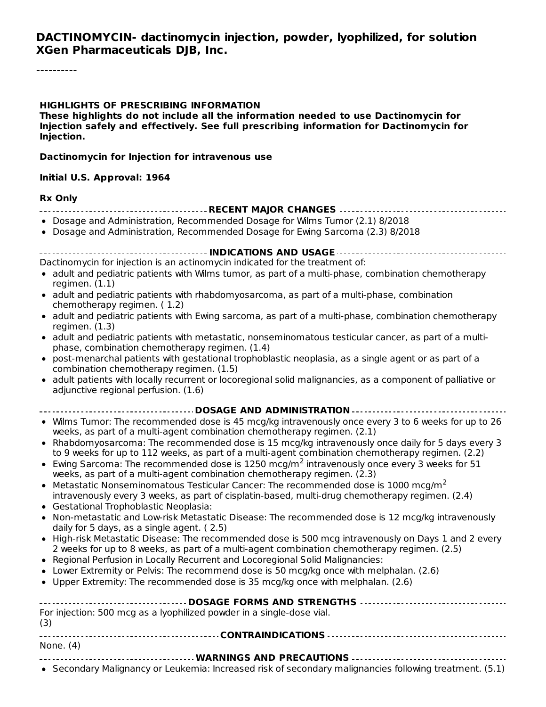#### **DACTINOMYCIN- dactinomycin injection, powder, lyophilized, for solution XGen Pharmaceuticals DJB, Inc.**

#### **HIGHLIGHTS OF PRESCRIBING INFORMATION**

**These highlights do not include all the information needed to use Dactinomycin for Injection safely and effectively. See full prescribing information for Dactinomycin for Injection.**

#### **Dactinomycin for Injection for intravenous use**

#### **Initial U.S. Approval: 1964**

#### **Rx Only**

- **RECENT MAJOR CHANGES**
- Dosage and Administration, Recommended Dosage for Wilms Tumor (2.1) 8/2018
- Dosage and Administration, Recommended Dosage for Ewing Sarcoma (2.3) 8/2018

**INDICATIONS AND USAGE**

- Dactinomycin for injection is an actinomycin indicated for the treatment of:
- $\bullet$  adult and pediatric patients with Wilms tumor, as part of a multi-phase, combination chemotherapy regimen. (1.1)
- adult and pediatric patients with rhabdomyosarcoma, as part of a multi-phase, combination chemotherapy regimen. ( 1.2)
- adult and pediatric patients with Ewing sarcoma, as part of a multi-phase, combination chemotherapy regimen. (1.3)
- adult and pediatric patients with metastatic, nonseminomatous testicular cancer, as part of a multiphase, combination chemotherapy regimen. (1.4)
- post-menarchal patients with gestational trophoblastic neoplasia, as a single agent or as part of a  $\bullet$ combination chemotherapy regimen. (1.5)
- adult patients with locally recurrent or locoregional solid malignancies, as a component of palliative or adjunctive regional perfusion. (1.6)

#### **DOSAGE AND ADMINISTRATION**

- Wilms Tumor: The recommended dose is 45 mcg/kg intravenously once every 3 to 6 weeks for up to 26 weeks, as part of a multi-agent combination chemotherapy regimen. (2.1)
- Rhabdomyosarcoma: The recommended dose is 15 mcg/kg intravenously once daily for 5 days every 3 to 9 weeks for up to 112 weeks, as part of a multi-agent combination chemotherapy regimen. (2.2)
- Ewing Sarcoma: The recommended dose is 1250 mcg/m<sup>2</sup> intravenously once every 3 weeks for 51 weeks, as part of a multi-agent combination chemotherapy regimen. (2.3)
- Metastatic Nonseminomatous Testicular Cancer: The recommended dose is 1000 mcg/m<sup>2</sup> intravenously every 3 weeks, as part of cisplatin-based, multi-drug chemotherapy regimen. (2.4)
- Gestational Trophoblastic Neoplasia:
- Non-metastatic and Low-risk Metastatic Disease: The recommended dose is 12 mcg/kg intravenously  $\bullet$ daily for 5 days, as a single agent. ( 2.5)
- High-risk Metastatic Disease: The recommended dose is 500 mcg intravenously on Days 1 and 2 every 2 weeks for up to 8 weeks, as part of a multi-agent combination chemotherapy regimen. (2.5)
- Regional Perfusion in Locally Recurrent and Locoregional Solid Malignancies:
- Lower Extremity or Pelvis: The recommend dose is 50 mcg/kg once with melphalan. (2.6)
- $\bullet$  Upper Extremity: The recommended dose is 35 mcg/kg once with melphalan. (2.6)

| For injection: 500 mcg as a lyophilized powder in a single-dose vial.<br>(3)                            |  |  |  |  |  |  |
|---------------------------------------------------------------------------------------------------------|--|--|--|--|--|--|
|                                                                                                         |  |  |  |  |  |  |
| None. $(4)$                                                                                             |  |  |  |  |  |  |
|                                                                                                         |  |  |  |  |  |  |
| • Secondary Malignancy or Leukemia: Increased risk of secondary malignancies following treatment. (5.1) |  |  |  |  |  |  |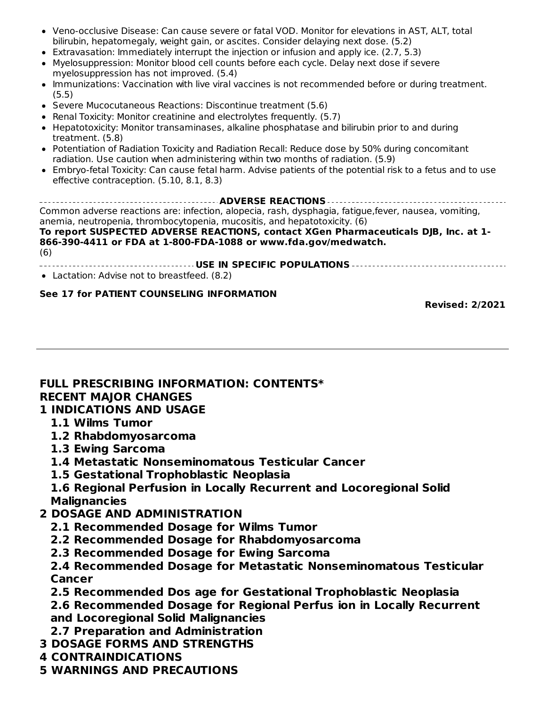- Veno-occlusive Disease: Can cause severe or fatal VOD. Monitor for elevations in AST, ALT, total bilirubin, hepatomegaly, weight gain, or ascites. Consider delaying next dose. (5.2)
- Extravasation: Immediately interrupt the injection or infusion and apply ice. (2.7, 5.3)
- Myelosuppression: Monitor blood cell counts before each cycle. Delay next dose if severe myelosuppression has not improved. (5.4)
- Immunizations: Vaccination with live viral vaccines is not recommended before or during treatment. (5.5)
- Severe Mucocutaneous Reactions: Discontinue treatment (5.6)
- Renal Toxicity: Monitor creatinine and electrolytes frequently. (5.7)
- Hepatotoxicity: Monitor transaminases, alkaline phosphatase and bilirubin prior to and during treatment. (5.8)
- Potentiation of Radiation Toxicity and Radiation Recall: Reduce dose by 50% during concomitant radiation. Use caution when administering within two months of radiation. (5.9)
- Embryo-fetal Toxicity: Can cause fetal harm. Advise patients of the potential risk to a fetus and to use effective contraception. (5.10, 8.1, 8.3)

| Common adverse reactions are: infection, alopecia, rash, dysphagia, fatigue, fever, nausea, vomiting,<br>anemia, neutropenia, thrombocytopenia, mucositis, and hepatotoxicity. (6) |
|------------------------------------------------------------------------------------------------------------------------------------------------------------------------------------|
| To report SUSPECTED ADVERSE REACTIONS, contact XGen Pharmaceuticals DJB, Inc. at 1-                                                                                                |
| 866-390-4411 or FDA at 1-800-FDA-1088 or www.fda.gov/medwatch.<br>(6)                                                                                                              |
|                                                                                                                                                                                    |

• Lactation: Advise not to breastfeed. (8.2)

#### **See 17 for PATIENT COUNSELING INFORMATION**

**Revised: 2/2021**

## **FULL PRESCRIBING INFORMATION: CONTENTS\* RECENT MAJOR CHANGES**

#### **1 INDICATIONS AND USAGE**

- **1.1 Wilms Tumor**
- **1.2 Rhabdomyosarcoma**
- **1.3 Ewing Sarcoma**
- **1.4 Metastatic Nonseminomatous Testicular Cancer**
- **1.5 Gestational Trophoblastic Neoplasia**
- **1.6 Regional Perfusion in Locally Recurrent and Locoregional Solid Malignancies**
- **2 DOSAGE AND ADMINISTRATION**
	- **2.1 Recommended Dosage for Wilms Tumor**
	- **2.2 Recommended Dosage for Rhabdomyosarcoma**
	- **2.3 Recommended Dosage for Ewing Sarcoma**

#### **2.4 Recommended Dosage for Metastatic Nonseminomatous Testicular Cancer**

**2.5 Recommended Dos age for Gestational Trophoblastic Neoplasia**

**2.6 Recommended Dosage for Regional Perfus ion in Locally Recurrent and Locoregional Solid Malignancies**

- **2.7 Preparation and Administration**
- **3 DOSAGE FORMS AND STRENGTHS**
- **4 CONTRAINDICATIONS**
- **5 WARNINGS AND PRECAUTIONS**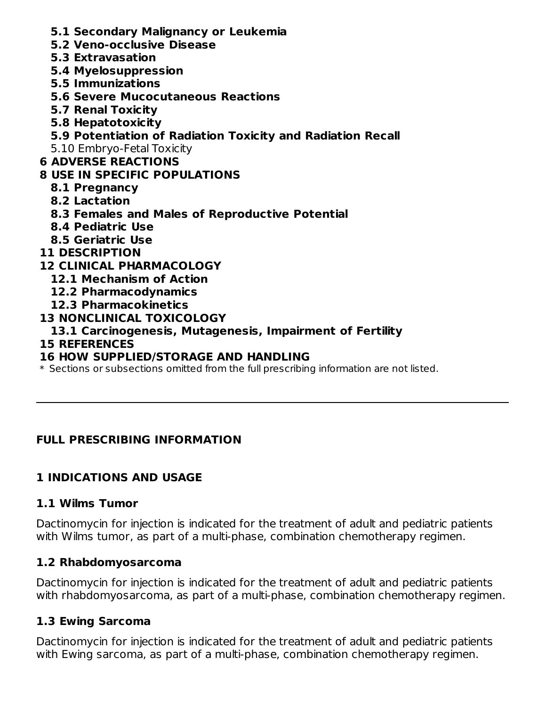- **5.1 Secondary Malignancy or Leukemia**
- **5.2 Veno-occlusive Disease**
- **5.3 Extravasation**
- **5.4 Myelosuppression**
- **5.5 Immunizations**
- **5.6 Severe Mucocutaneous Reactions**
- **5.7 Renal Toxicity**
- **5.8 Hepatotoxicity**
- **5.9 Potentiation of Radiation Toxicity and Radiation Recall**
- 5.10 Embryo-Fetal Toxicity

## **6 ADVERSE REACTIONS**

## **8 USE IN SPECIFIC POPULATIONS**

- **8.1 Pregnancy**
- **8.2 Lactation**
- **8.3 Females and Males of Reproductive Potential**
- **8.4 Pediatric Use**
- **8.5 Geriatric Use**
- **11 DESCRIPTION**

### **12 CLINICAL PHARMACOLOGY**

- **12.1 Mechanism of Action**
- **12.2 Pharmacodynamics**
- **12.3 Pharmacokinetics**

### **13 NONCLINICAL TOXICOLOGY**

### **13.1 Carcinogenesis, Mutagenesis, Impairment of Fertility**

### **15 REFERENCES**

## **16 HOW SUPPLIED/STORAGE AND HANDLING**

 $\ast$  Sections or subsections omitted from the full prescribing information are not listed.

## **FULL PRESCRIBING INFORMATION**

## **1 INDICATIONS AND USAGE**

### **1.1 Wilms Tumor**

Dactinomycin for injection is indicated for the treatment of adult and pediatric patients with Wilms tumor, as part of a multi-phase, combination chemotherapy regimen.

## **1.2 Rhabdomyosarcoma**

Dactinomycin for injection is indicated for the treatment of adult and pediatric patients with rhabdomyosarcoma, as part of a multi-phase, combination chemotherapy regimen.

## **1.3 Ewing Sarcoma**

Dactinomycin for injection is indicated for the treatment of adult and pediatric patients with Ewing sarcoma, as part of a multi-phase, combination chemotherapy regimen.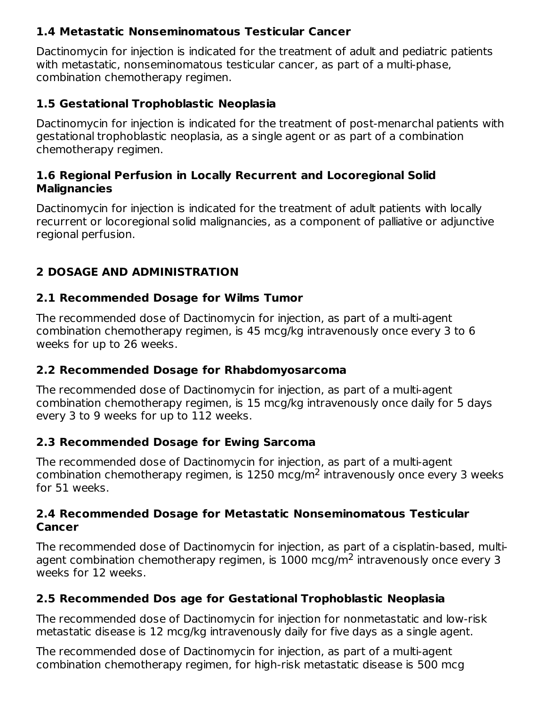## **1.4 Metastatic Nonseminomatous Testicular Cancer**

Dactinomycin for injection is indicated for the treatment of adult and pediatric patients with metastatic, nonseminomatous testicular cancer, as part of a multi-phase, combination chemotherapy regimen.

## **1.5 Gestational Trophoblastic Neoplasia**

Dactinomycin for injection is indicated for the treatment of post-menarchal patients with gestational trophoblastic neoplasia, as a single agent or as part of a combination chemotherapy regimen.

### **1.6 Regional Perfusion in Locally Recurrent and Locoregional Solid Malignancies**

Dactinomycin for injection is indicated for the treatment of adult patients with locally recurrent or locoregional solid malignancies, as a component of palliative or adjunctive regional perfusion.

## **2 DOSAGE AND ADMINISTRATION**

### **2.1 Recommended Dosage for Wilms Tumor**

The recommended dose of Dactinomycin for injection, as part of a multi-agent combination chemotherapy regimen, is 45 mcg/kg intravenously once every 3 to 6 weeks for up to 26 weeks.

## **2.2 Recommended Dosage for Rhabdomyosarcoma**

The recommended dose of Dactinomycin for injection, as part of a multi-agent combination chemotherapy regimen, is 15 mcg/kg intravenously once daily for 5 days every 3 to 9 weeks for up to 112 weeks.

## **2.3 Recommended Dosage for Ewing Sarcoma**

The recommended dose of Dactinomycin for injection, as part of a multi-agent combination chemotherapy regimen, is  $1250 \text{ mcg/m}^2$  intravenously once every 3 weeks for 51 weeks.

#### **2.4 Recommended Dosage for Metastatic Nonseminomatous Testicular Cancer**

The recommended dose of Dactinomycin for injection, as part of a cisplatin-based, multiagent combination chemotherapy regimen, is  $1000$  mcg/m<sup>2</sup> intravenously once every 3 weeks for 12 weeks.

## **2.5 Recommended Dos age for Gestational Trophoblastic Neoplasia**

The recommended dose of Dactinomycin for injection for nonmetastatic and low-risk metastatic disease is 12 mcg/kg intravenously daily for five days as a single agent.

The recommended dose of Dactinomycin for injection, as part of a multi-agent combination chemotherapy regimen, for high-risk metastatic disease is 500 mcg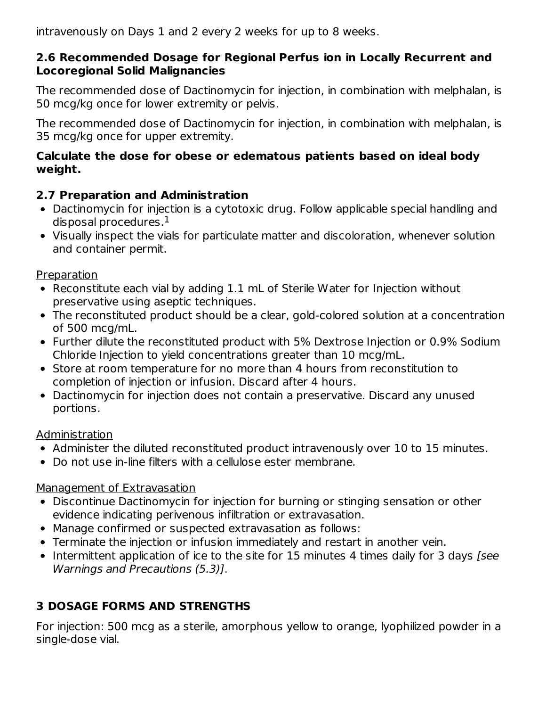intravenously on Days 1 and 2 every 2 weeks for up to 8 weeks.

### **2.6 Recommended Dosage for Regional Perfus ion in Locally Recurrent and Locoregional Solid Malignancies**

The recommended dose of Dactinomycin for injection, in combination with melphalan, is 50 mcg/kg once for lower extremity or pelvis.

The recommended dose of Dactinomycin for injection, in combination with melphalan, is 35 mcg/kg once for upper extremity.

### **Calculate the dose for obese or edematous patients based on ideal body weight.**

## **2.7 Preparation and Administration**

- Dactinomycin for injection is a cytotoxic drug. Follow applicable special handling and disposal procedures. $^{\rm 1}$
- Visually inspect the vials for particulate matter and discoloration, whenever solution and container permit.

## Preparation

- Reconstitute each vial by adding 1.1 mL of Sterile Water for Injection without preservative using aseptic techniques.
- The reconstituted product should be a clear, gold-colored solution at a concentration of 500 mcg/mL.
- Further dilute the reconstituted product with 5% Dextrose Injection or 0.9% Sodium Chloride Injection to yield concentrations greater than 10 mcg/mL.
- Store at room temperature for no more than 4 hours from reconstitution to completion of injection or infusion. Discard after 4 hours.
- Dactinomycin for injection does not contain a preservative. Discard any unused portions.

## Administration

- Administer the diluted reconstituted product intravenously over 10 to 15 minutes.
- Do not use in-line filters with a cellulose ester membrane.

## Management of Extravasation

- Discontinue Dactinomycin for injection for burning or stinging sensation or other evidence indicating perivenous infiltration or extravasation.
- Manage confirmed or suspected extravasation as follows:
- Terminate the injection or infusion immediately and restart in another vein.
- Intermittent application of ice to the site for 15 minutes 4 times daily for 3 days *[see*] Warnings and Precautions (5.3)].

# **3 DOSAGE FORMS AND STRENGTHS**

For injection: 500 mcg as a sterile, amorphous yellow to orange, lyophilized powder in a single-dose vial.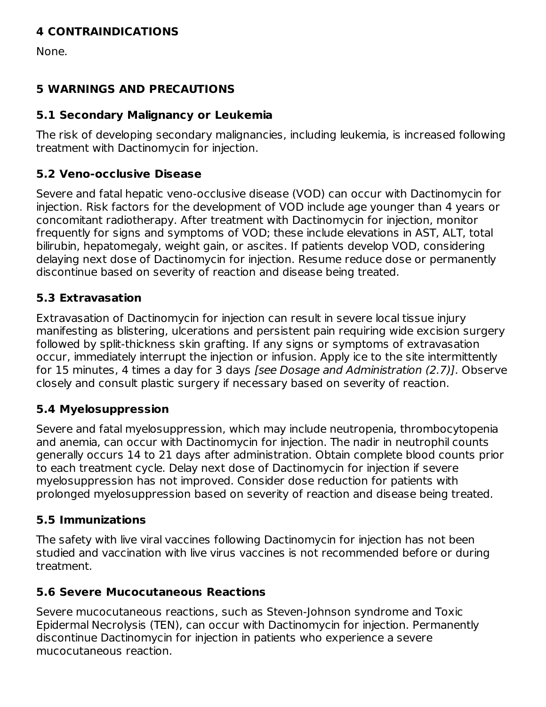## **4 CONTRAINDICATIONS**

None.

## **5 WARNINGS AND PRECAUTIONS**

## **5.1 Secondary Malignancy or Leukemia**

The risk of developing secondary malignancies, including leukemia, is increased following treatment with Dactinomycin for injection.

## **5.2 Veno-occlusive Disease**

Severe and fatal hepatic veno-occlusive disease (VOD) can occur with Dactinomycin for injection. Risk factors for the development of VOD include age younger than 4 years or concomitant radiotherapy. After treatment with Dactinomycin for injection, monitor frequently for signs and symptoms of VOD; these include elevations in AST, ALT, total bilirubin, hepatomegaly, weight gain, or ascites. If patients develop VOD, considering delaying next dose of Dactinomycin for injection. Resume reduce dose or permanently discontinue based on severity of reaction and disease being treated.

## **5.3 Extravasation**

Extravasation of Dactinomycin for injection can result in severe local tissue injury manifesting as blistering, ulcerations and persistent pain requiring wide excision surgery followed by split-thickness skin grafting. If any signs or symptoms of extravasation occur, immediately interrupt the injection or infusion. Apply ice to the site intermittently for 15 minutes, 4 times a day for 3 days [see Dosage and Administration (2.7)]. Observe closely and consult plastic surgery if necessary based on severity of reaction.

## **5.4 Myelosuppression**

Severe and fatal myelosuppression, which may include neutropenia, thrombocytopenia and anemia, can occur with Dactinomycin for injection. The nadir in neutrophil counts generally occurs 14 to 21 days after administration. Obtain complete blood counts prior to each treatment cycle. Delay next dose of Dactinomycin for injection if severe myelosuppression has not improved. Consider dose reduction for patients with prolonged myelosuppression based on severity of reaction and disease being treated.

## **5.5 Immunizations**

The safety with live viral vaccines following Dactinomycin for injection has not been studied and vaccination with live virus vaccines is not recommended before or during treatment.

## **5.6 Severe Mucocutaneous Reactions**

Severe mucocutaneous reactions, such as Steven-Johnson syndrome and Toxic Epidermal Necrolysis (TEN), can occur with Dactinomycin for injection. Permanently discontinue Dactinomycin for injection in patients who experience a severe mucocutaneous reaction.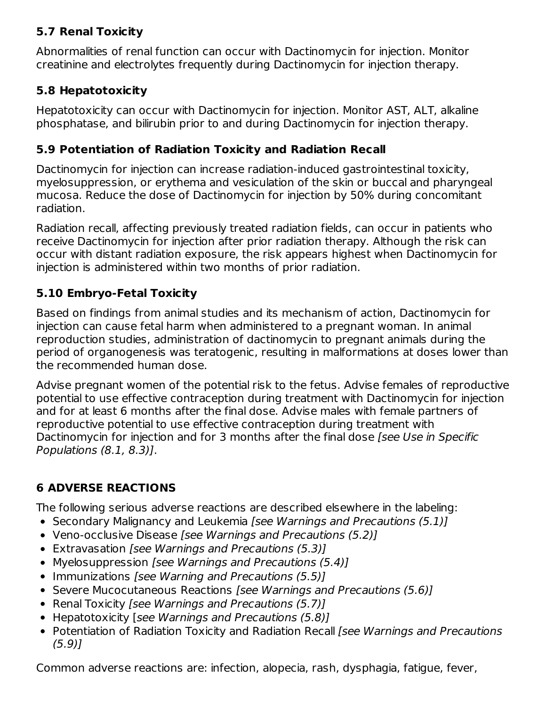## **5.7 Renal Toxicity**

Abnormalities of renal function can occur with Dactinomycin for injection. Monitor creatinine and electrolytes frequently during Dactinomycin for injection therapy.

## **5.8 Hepatotoxicity**

Hepatotoxicity can occur with Dactinomycin for injection. Monitor AST, ALT, alkaline phosphatase, and bilirubin prior to and during Dactinomycin for injection therapy.

## **5.9 Potentiation of Radiation Toxicity and Radiation Recall**

Dactinomycin for injection can increase radiation-induced gastrointestinal toxicity, myelosuppression, or erythema and vesiculation of the skin or buccal and pharyngeal mucosa. Reduce the dose of Dactinomycin for injection by 50% during concomitant radiation.

Radiation recall, affecting previously treated radiation fields, can occur in patients who receive Dactinomycin for injection after prior radiation therapy. Although the risk can occur with distant radiation exposure, the risk appears highest when Dactinomycin for injection is administered within two months of prior radiation.

## **5.10 Embryo-Fetal Toxicity**

Based on findings from animal studies and its mechanism of action, Dactinomycin for injection can cause fetal harm when administered to a pregnant woman. In animal reproduction studies, administration of dactinomycin to pregnant animals during the period of organogenesis was teratogenic, resulting in malformations at doses lower than the recommended human dose.

Advise pregnant women of the potential risk to the fetus. Advise females of reproductive potential to use effective contraception during treatment with Dactinomycin for injection and for at least 6 months after the final dose. Advise males with female partners of reproductive potential to use effective contraception during treatment with Dactinomycin for injection and for 3 months after the final dose [see Use in Specific Populations (8.1, 8.3)].

# **6 ADVERSE REACTIONS**

The following serious adverse reactions are described elsewhere in the labeling:

- Secondary Malignancy and Leukemia [see Warnings and Precautions (5.1)]
- Veno-occlusive Disease [see Warnings and Precautions (5.2)]
- Extravasation [see Warnings and Precautions (5.3)]
- Myelosuppression [see Warnings and Precautions (5.4)]
- Immunizations [see Warning and Precautions (5.5)]
- Severe Mucocutaneous Reactions [see Warnings and Precautions (5.6)]
- Renal Toxicity [see Warnings and Precautions (5.7)]
- Hepatotoxicity [see Warnings and Precautions (5.8)]
- Potentiation of Radiation Toxicity and Radiation Recall [see Warnings and Precautions (5.9)]

Common adverse reactions are: infection, alopecia, rash, dysphagia, fatigue, fever,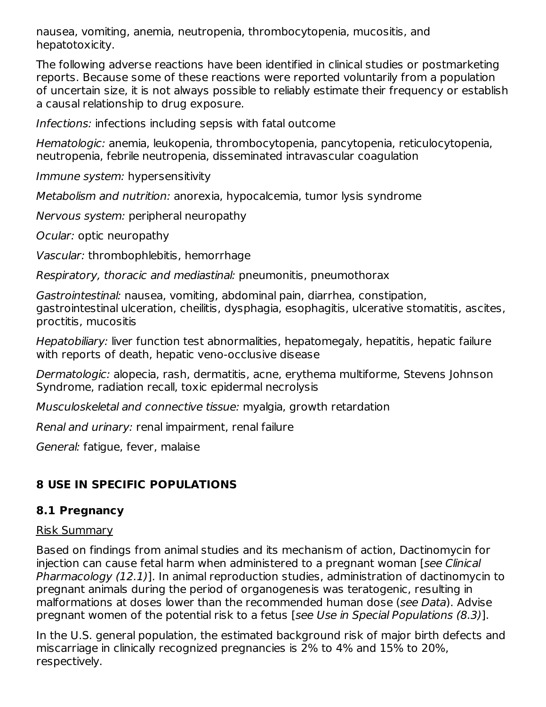nausea, vomiting, anemia, neutropenia, thrombocytopenia, mucositis, and hepatotoxicity.

The following adverse reactions have been identified in clinical studies or postmarketing reports. Because some of these reactions were reported voluntarily from a population of uncertain size, it is not always possible to reliably estimate their frequency or establish a causal relationship to drug exposure.

Infections: infections including sepsis with fatal outcome

Hematologic: anemia, leukopenia, thrombocytopenia, pancytopenia, reticulocytopenia, neutropenia, febrile neutropenia, disseminated intravascular coagulation

Immune system: hypersensitivity

Metabolism and nutrition: anorexia, hypocalcemia, tumor lysis syndrome

Nervous system: peripheral neuropathy

Ocular: optic neuropathy

Vascular: thrombophlebitis, hemorrhage

Respiratory, thoracic and mediastinal: pneumonitis, pneumothorax

Gastrointestinal: nausea, vomiting, abdominal pain, diarrhea, constipation, gastrointestinal ulceration, cheilitis, dysphagia, esophagitis, ulcerative stomatitis, ascites, proctitis, mucositis

Hepatobiliary: liver function test abnormalities, hepatomegaly, hepatitis, hepatic failure with reports of death, hepatic veno-occlusive disease

Dermatologic: alopecia, rash, dermatitis, acne, erythema multiforme, Stevens Johnson Syndrome, radiation recall, toxic epidermal necrolysis

Musculoskeletal and connective tissue: myalgia, growth retardation

Renal and urinary: renal impairment, renal failure

General: fatigue, fever, malaise

## **8 USE IN SPECIFIC POPULATIONS**

## **8.1 Pregnancy**

#### Risk Summary

Based on findings from animal studies and its mechanism of action, Dactinomycin for injection can cause fetal harm when administered to a pregnant woman [see Clinical Pharmacology (12.1)]. In animal reproduction studies, administration of dactinomycin to pregnant animals during the period of organogenesis was teratogenic, resulting in malformations at doses lower than the recommended human dose (see Data). Advise pregnant women of the potential risk to a fetus [see Use in Special Populations (8.3)].

In the U.S. general population, the estimated background risk of major birth defects and miscarriage in clinically recognized pregnancies is 2% to 4% and 15% to 20%, respectively.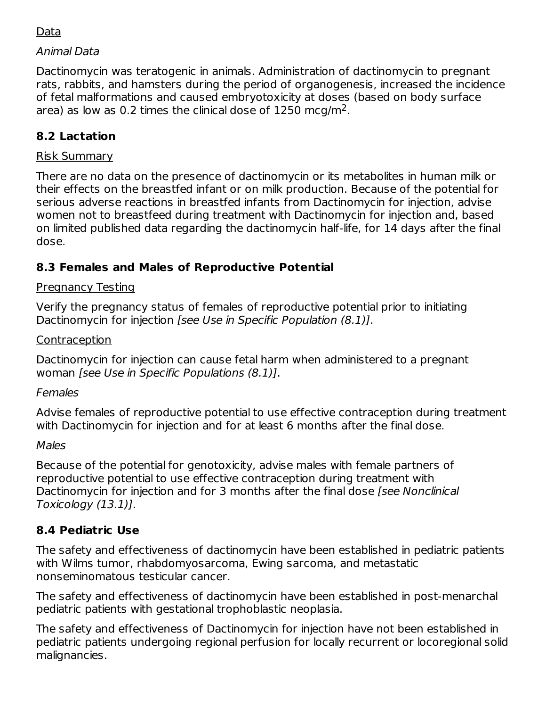## Data

### Animal Data

Dactinomycin was teratogenic in animals. Administration of dactinomycin to pregnant rats, rabbits, and hamsters during the period of organogenesis, increased the incidence of fetal malformations and caused embryotoxicity at doses (based on body surface area) as low as 0.2 times the clinical dose of 1250 mcg/m<sup>2</sup>.

## **8.2 Lactation**

#### Risk Summary

There are no data on the presence of dactinomycin or its metabolites in human milk or their effects on the breastfed infant or on milk production. Because of the potential for serious adverse reactions in breastfed infants from Dactinomycin for injection, advise women not to breastfeed during treatment with Dactinomycin for injection and, based on limited published data regarding the dactinomycin half-life, for 14 days after the final dose.

### **8.3 Females and Males of Reproductive Potential**

#### Pregnancy Testing

Verify the pregnancy status of females of reproductive potential prior to initiating Dactinomycin for injection *[see Use in Specific Population (8.1)]*.

#### **Contraception**

Dactinomycin for injection can cause fetal harm when administered to a pregnant woman [see Use in Specific Populations (8.1)].

#### Females

Advise females of reproductive potential to use effective contraception during treatment with Dactinomycin for injection and for at least 6 months after the final dose.

#### Males

Because of the potential for genotoxicity, advise males with female partners of reproductive potential to use effective contraception during treatment with Dactinomycin for injection and for 3 months after the final dose *[see Nonclinical* Toxicology (13.1)].

## **8.4 Pediatric Use**

The safety and effectiveness of dactinomycin have been established in pediatric patients with Wilms tumor, rhabdomyosarcoma, Ewing sarcoma, and metastatic nonseminomatous testicular cancer.

The safety and effectiveness of dactinomycin have been established in post-menarchal pediatric patients with gestational trophoblastic neoplasia.

The safety and effectiveness of Dactinomycin for injection have not been established in pediatric patients undergoing regional perfusion for locally recurrent or locoregional solid malignancies.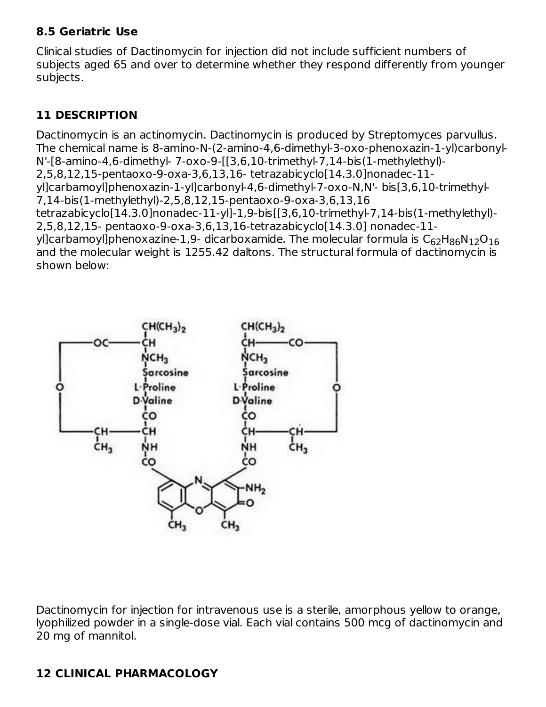### **8.5 Geriatric Use**

Clinical studies of Dactinomycin for injection did not include sufficient numbers of subjects aged 65 and over to determine whether they respond differently from younger subjects.

## **11 DESCRIPTION**

Dactinomycin is an actinomycin. Dactinomycin is produced by Streptomyces parvullus. The chemical name is 8-amino-N-(2-amino-4,6-dimethyl-3-oxo-phenoxazin-1-yl)carbonyl-N'-[8-amino-4,6-dimethyl- 7-oxo-9-[[3,6,10-trimethyl-7,14-bis(1-methylethyl)- 2,5,8,12,15-pentaoxo-9-oxa-3,6,13,16- tetrazabicyclo[14.3.0]nonadec-11 yl]carbamoyl]phenoxazin-1-yl]carbonyl-4,6-dimethyl-7-oxo-N,N'- bis[3,6,10-trimethyl-7,14-bis(1-methylethyl)-2,5,8,12,15-pentaoxo-9-oxa-3,6,13,16 tetrazabicyclo[14.3.0]nonadec-11-yl]-1,9-bis[[3,6,10-trimethyl-7,14-bis(1-methylethyl)- 2,5,8,12,15- pentaoxo-9-oxa-3,6,13,16-tetrazabicyclo[14.3.0] nonadec-11 yl]carbamoyl]phenoxazine-1,9- dicarboxamide. The molecular formula is  $\mathsf{C}_{62}\mathsf{H}_{86}\mathsf{N}_{12}\mathsf{O}_{16}$ and the molecular weight is 1255.42 daltons. The structural formula of dactinomycin is shown below:



Dactinomycin for injection for intravenous use is a sterile, amorphous yellow to orange, lyophilized powder in a single-dose vial. Each vial contains 500 mcg of dactinomycin and 20 mg of mannitol.

# **12 CLINICAL PHARMACOLOGY**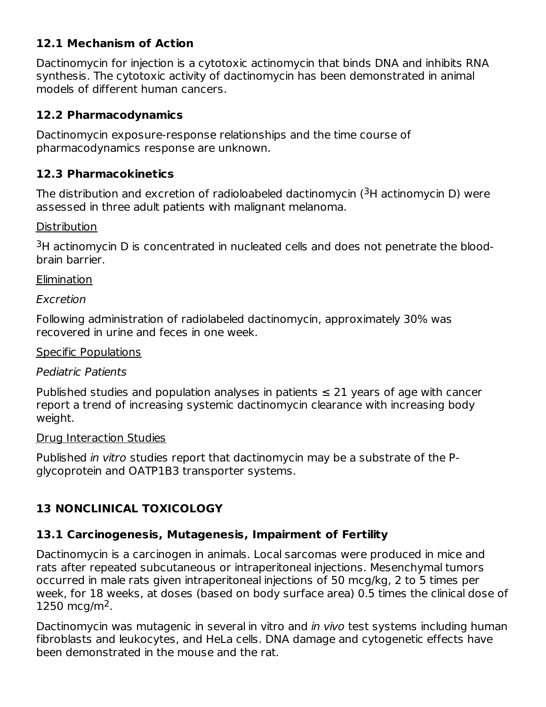## **12.1 Mechanism of Action**

Dactinomycin for injection is a cytotoxic actinomycin that binds DNA and inhibits RNA synthesis. The cytotoxic activity of dactinomycin has been demonstrated in animal models of different human cancers.

## **12.2 Pharmacodynamics**

Dactinomycin exposure-response relationships and the time course of pharmacodynamics response are unknown.

## **12.3 Pharmacokinetics**

The distribution and excretion of radioloabeled dactinomycin ( $3H$  actinomycin D) were assessed in three adult patients with malignant melanoma.

## **Distribution**

 $3H$  actinomycin D is concentrated in nucleated cells and does not penetrate the bloodbrain barrier.

## Elimination

Excretion

Following administration of radiolabeled dactinomycin, approximately 30% was recovered in urine and feces in one week.

## Specific Populations

## Pediatric Patients

Published studies and population analyses in patients  $\leq$  21 years of age with cancer report a trend of increasing systemic dactinomycin clearance with increasing body weight.

## Drug Interaction Studies

Published in vitro studies report that dactinomycin may be a substrate of the Pglycoprotein and OATP1B3 transporter systems.

# **13 NONCLINICAL TOXICOLOGY**

# **13.1 Carcinogenesis, Mutagenesis, Impairment of Fertility**

Dactinomycin is a carcinogen in animals. Local sarcomas were produced in mice and rats after repeated subcutaneous or intraperitoneal injections. Mesenchymal tumors occurred in male rats given intraperitoneal injections of 50 mcg/kg, 2 to 5 times per week, for 18 weeks, at doses (based on body surface area) 0.5 times the clinical dose of 1250 mcg/m<sup>2</sup>.

Dactinomycin was mutagenic in several in vitro and *in vivo* test systems including human fibroblasts and leukocytes, and HeLa cells. DNA damage and cytogenetic effects have been demonstrated in the mouse and the rat.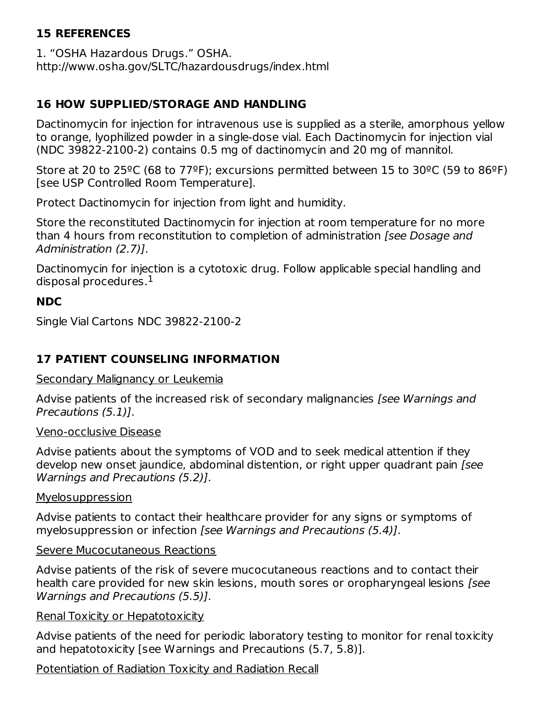## **15 REFERENCES**

1. "OSHA Hazardous Drugs." OSHA. http://www.osha.gov/SLTC/hazardousdrugs/index.html

## **16 HOW SUPPLIED/STORAGE AND HANDLING**

Dactinomycin for injection for intravenous use is supplied as a sterile, amorphous yellow to orange, lyophilized powder in a single-dose vial. Each Dactinomycin for injection vial (NDC 39822-2100-2) contains 0.5 mg of dactinomycin and 20 mg of mannitol.

Store at 20 to 25<sup>o</sup>C (68 to 77<sup>o</sup>F); excursions permitted between 15 to 30<sup>o</sup>C (59 to 86<sup>o</sup>F) [see USP Controlled Room Temperature].

Protect Dactinomycin for injection from light and humidity.

Store the reconstituted Dactinomycin for injection at room temperature for no more than 4 hours from reconstitution to completion of administration [see Dosage and Administration (2.7)].

Dactinomycin for injection is a cytotoxic drug. Follow applicable special handling and disposal procedures. $^{\rm 1}$ 

## **NDC**

Single Vial Cartons NDC 39822-2100-2

## **17 PATIENT COUNSELING INFORMATION**

### Secondary Malignancy or Leukemia

Advise patients of the increased risk of secondary malignancies [see Warnings and Precautions (5.1)].

## Veno-occlusive Disease

Advise patients about the symptoms of VOD and to seek medical attention if they develop new onset jaundice, abdominal distention, or right upper quadrant pain [see Warnings and Precautions (5.2)].

### Myelosuppression

Advise patients to contact their healthcare provider for any signs or symptoms of myelosuppression or infection [see Warnings and Precautions (5.4)].

## Severe Mucocutaneous Reactions

Advise patients of the risk of severe mucocutaneous reactions and to contact their health care provided for new skin lesions, mouth sores or oropharyngeal lesions [see Warnings and Precautions (5.5)].

### Renal Toxicity or Hepatotoxicity

Advise patients of the need for periodic laboratory testing to monitor for renal toxicity and hepatotoxicity [see Warnings and Precautions (5.7, 5.8)].

Potentiation of Radiation Toxicity and Radiation Recall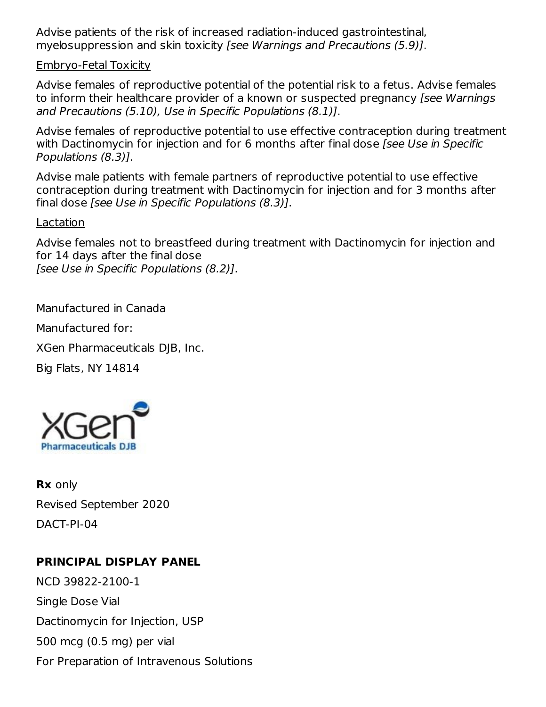Advise patients of the risk of increased radiation-induced gastrointestinal, myelosuppression and skin toxicity [see Warnings and Precautions (5.9)].

#### Embryo-Fetal Toxicity

Advise females of reproductive potential of the potential risk to a fetus. Advise females to inform their healthcare provider of a known or suspected pregnancy [see Warnings and Precautions (5.10), Use in Specific Populations (8.1)].

Advise females of reproductive potential to use effective contraception during treatment with Dactinomycin for injection and for 6 months after final dose [see Use in Specific Populations (8.3)].

Advise male patients with female partners of reproductive potential to use effective contraception during treatment with Dactinomycin for injection and for 3 months after final dose [see Use in Specific Populations (8.3)].

Lactation

Advise females not to breastfeed during treatment with Dactinomycin for injection and for 14 days after the final dose [see Use in Specific Populations (8.2)].

Manufactured in Canada

Manufactured for:

XGen Pharmaceuticals DJB, Inc.

Big Flats, NY 14814



**Rx** only Revised September 2020 DACT-PI-04

## **PRINCIPAL DISPLAY PANEL**

NCD 39822-2100-1 Single Dose Vial Dactinomycin for Injection, USP 500 mcg (0.5 mg) per vial For Preparation of Intravenous Solutions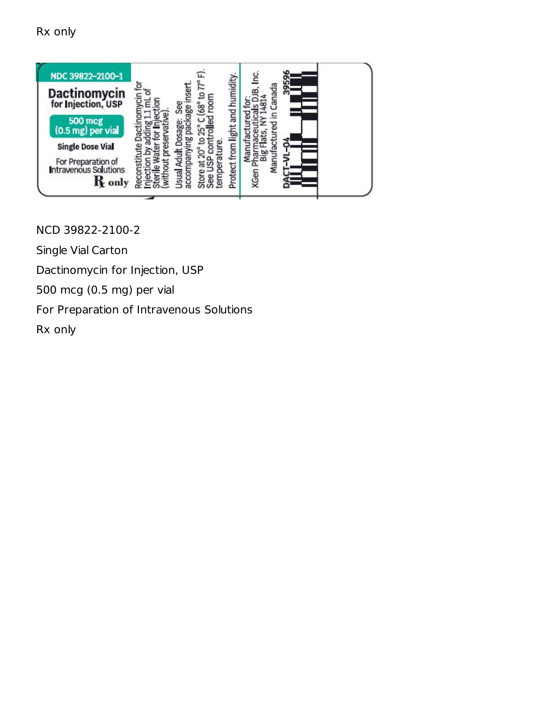Rx only



NCD 39822-2100-2

Single Vial Carton

Dactinomycin for Injection, USP

500 mcg (0.5 mg) per vial

For Preparation of Intravenous Solutions

Rx only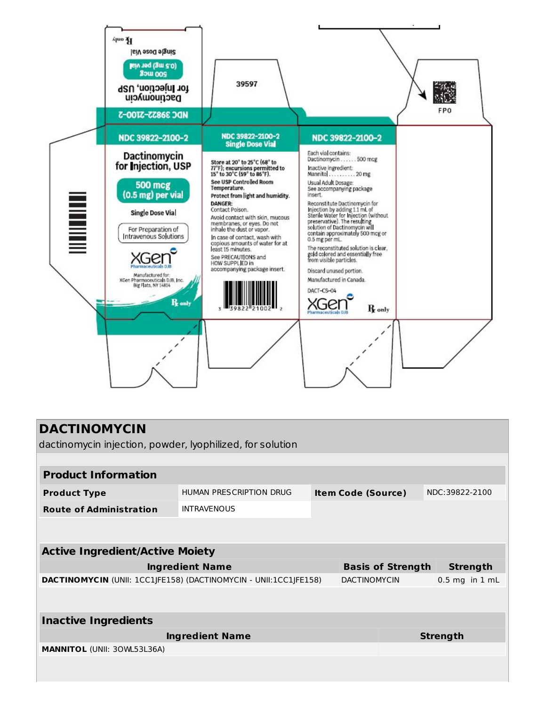

| <b>DACTINOMYCIN</b><br>dactinomycin injection, powder, lyophilized, for solution |                         |                           |                     |                                             |                |                    |  |  |  |
|----------------------------------------------------------------------------------|-------------------------|---------------------------|---------------------|---------------------------------------------|----------------|--------------------|--|--|--|
|                                                                                  |                         |                           |                     |                                             |                |                    |  |  |  |
| <b>Product Information</b>                                                       |                         |                           |                     |                                             |                |                    |  |  |  |
| <b>Product Type</b>                                                              | HUMAN PRESCRIPTION DRUG | <b>Item Code (Source)</b> |                     |                                             | NDC:39822-2100 |                    |  |  |  |
| <b>Route of Administration</b>                                                   | <b>INTRAVENOUS</b>      |                           |                     |                                             |                |                    |  |  |  |
|                                                                                  |                         |                           |                     |                                             |                |                    |  |  |  |
| <b>Active Ingredient/Active Moiety</b>                                           |                         |                           |                     |                                             |                |                    |  |  |  |
| <b>Ingredient Name</b>                                                           |                         |                           |                     | <b>Basis of Strength</b><br><b>Strength</b> |                |                    |  |  |  |
| DACTINOMYCIN (UNII: 1CC1JFE158) (DACTINOMYCIN - UNII:1CC1JFE158)                 |                         |                           | <b>DACTINOMYCIN</b> |                                             |                | $0.5$ mg in $1$ mL |  |  |  |
|                                                                                  |                         |                           |                     |                                             |                |                    |  |  |  |
| <b>Inactive Ingredients</b>                                                      |                         |                           |                     |                                             |                |                    |  |  |  |
| <b>Ingredient Name</b>                                                           |                         |                           | <b>Strength</b>     |                                             |                |                    |  |  |  |
| <b>MANNITOL (UNII: 30WL53L36A)</b>                                               |                         |                           |                     |                                             |                |                    |  |  |  |
|                                                                                  |                         |                           |                     |                                             |                |                    |  |  |  |
|                                                                                  |                         |                           |                     |                                             |                |                    |  |  |  |